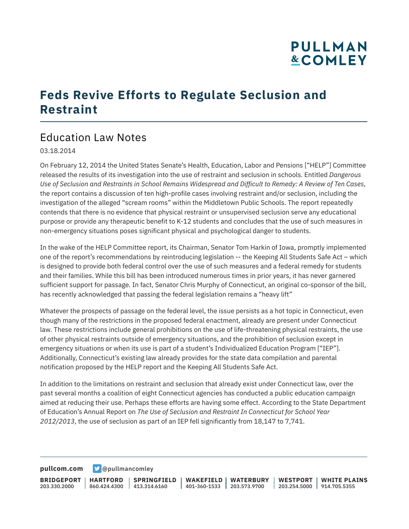# **PULLMAN &COMLEY**

### **Feds Revive Efforts to Regulate Seclusion and Restraint**

### Education Law Notes

03.18.2014

On February 12, 2014 the United States Senate's Health, Education, Labor and Pensions ["HELP"] Committee released the results of its investigation into the use of restraint and seclusion in schools. Entitled *Dangerous Use of Seclusion and Restraints in School Remains Widespread and Difficult to Remedy: A Review of Ten Cases*, the report contains a discussion of ten high-profile cases involving restraint and/or seclusion, including the investigation of the alleged "scream rooms" within the Middletown Public Schools. The report repeatedly contends that there is no evidence that physical restraint or unsupervised seclusion serve any educational purpose or provide any therapeutic benefit to K-12 students and concludes that the use of such measures in non-emergency situations poses significant physical and psychological danger to students.

In the wake of the HELP Committee report, its Chairman, Senator Tom Harkin of Iowa, promptly implemented one of the report's recommendations by reintroducing legislation -- the Keeping All Students Safe Act – which is designed to provide both federal control over the use of such measures and a federal remedy for students and their families. While this bill has been introduced numerous times in prior years, it has never garnered sufficient support for passage. In fact, Senator Chris Murphy of Connecticut, an original co-sponsor of the bill, has recently acknowledged that passing the federal legislation remains a "heavy lift"

Whatever the prospects of passage on the federal level, the issue persists as a hot topic in Connecticut, even though many of the restrictions in the proposed federal enactment, already are present under Connecticut law. These restrictions include general prohibitions on the use of life-threatening physical restraints, the use of other physical restraints outside of emergency situations, and the prohibition of seclusion except in emergency situations or when its use is part of a student's Individualized Education Program ["IEP"]. Additionally, Connecticut's existing law already provides for the state data compilation and parental notification proposed by the HELP report and the Keeping All Students Safe Act.

In addition to the limitations on restraint and seclusion that already exist under Connecticut law, over the past several months a coalition of eight Connecticut agencies has conducted a public education campaign aimed at reducing their use. Perhaps these efforts are having some effect. According to the State Department of Education's Annual Report on *The Use of Seclusion and Restraint In Connecticut for School Year 2012/2013*, the use of seclusion as part of an IEP fell significantly from 18,147 to 7,741.

**[pullcom.com](https://www.pullcom.com) g** [@pullmancomley](https://twitter.com/PullmanComley)

**BRIDGEPORT** 203.330.2000 **HARTFORD** 860.424.4300 413.314.6160 **SPRINGFIELD WAKEFIELD WATERBURY** 401-360-1533 203.573.9700 **WESTPORT WHITE PLAINS** 203.254.5000 914.705.5355